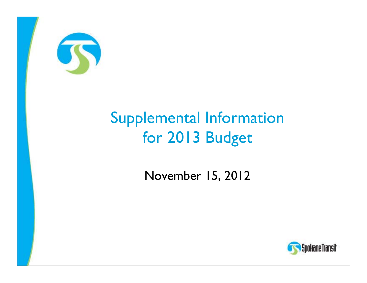

## **Supplemental Information** for 2013 Budget

November 15, 2012



 $\blacksquare$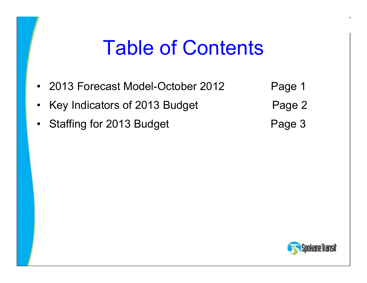## Table of Contents

- 2013 Forecast Model-October 201
- •Key Indicators of 2013 Budget Page 2
- •Staffing for 2013 Budget Page 3
- Page 1

ıkane Transit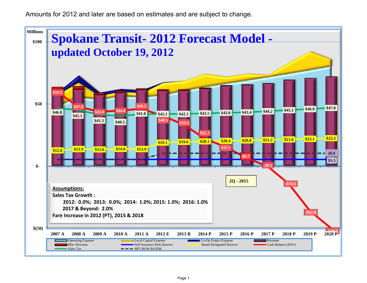Amounts for 2012 and later are based on estimates and are subject to change.

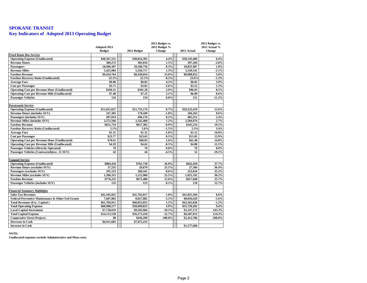## **SPOKANE TRANSIT Key Indicators of Adopted 2013 Operating Budget**

| 2011 Actual %<br><b>Budget</b><br>2012 Budget<br>Change<br>2011 Actual<br><b>Change</b><br><b>Fixed Route Bus Service</b><br><b>Operating Expense (Unallocated)</b><br>\$40,567,551<br>\$38,854,395<br>4.4%<br>\$38,143,406<br>6.4%<br>389.272<br>383,616<br>1.5%<br>397,204<br>$-2.0%$<br><b>Revenue Hours</b><br>10,940,307<br>8.3%<br>Passengers<br>10,100,756<br>10,831,987<br>1.0%<br><b>Revenue Miles</b><br>5,425,904<br>5,356,717<br>1.3%<br>5,539,541<br>$-2.1%$<br>\$8,350,054<br>13.0%<br>\$8,988,852<br>5.0%<br><b>Farebox Revenue</b><br>\$9,434,764<br>21.5%<br>8.2%<br>$-1.3%$<br><b>Farebox Recovery Ratio (Unallocated)</b><br>23.3%<br>23.6%<br>\$0.86<br>4.3%<br>3.9%<br><b>Average Fare</b><br>\$0.83<br>\$0.83<br>\$3.71<br>\$3.85<br><b>Cost per Passenger</b><br>$-3.6%$<br>\$3.52<br>5.3%<br><b>Operating Cost per Revenue Hour (Unallocated)</b><br>\$104.21<br>\$101.28<br>2.9%<br>8.5%<br>\$96.03<br><b>Operating Cost per Revenue Mile (Unallocated)</b><br>\$7.48<br>\$7.25<br>3.1%<br>\$6.89<br>8.6%<br><b>Passenger Vehicles</b><br>134<br>134<br>$-11.3%$<br>$0.0\%$<br>151<br>Paratransit Service<br><b>Operating Expense (Unallocated)</b><br>\$11,812,627<br>\$11,735,174<br>0.7%<br>\$10,222,419<br>15.6%<br><b>Revenue Hours (includes SUV)</b><br>167.305<br>170,449<br>$-1.8%$<br>166,263<br>0.6%<br>Passengers (includes SUV)<br>497,014<br>496,176<br>0.2%<br>485,551<br>2.4%<br>1.2%<br>2,504,974<br>2.7%<br><b>Revenue Miles (includes SUV)</b><br>2,572,566<br>2,542,468<br>19.5%<br><b>Farebox Revenue</b><br>\$651,754<br>\$657,382<br>$-0.9%$<br>\$545,254<br><b>Farebox Recovery Ratio (Unallocated)</b><br>$-1.5%$<br>5.5%<br>5.6%<br>5.3%<br>3.4%<br>\$1.31<br>\$1.32<br>\$1.12<br><b>Average Fare</b><br>$-1.0%$<br>16.8%<br><b>Cost per Passenger</b><br>\$23.77<br>\$23.65<br>0.5%<br>\$21.05<br>12.9%<br><b>Operating Cost per Revenue Hour (Unallocated)</b><br>\$68.85<br>2.6%<br>14.8%<br>\$70.61<br>\$61.48<br><b>Operating Cost per Revenue Mile (Unallocated)</b><br>\$4.59<br>$-0.5%$<br>\$4.08<br>12.5%<br>\$4.62<br><b>Passenger Vehicles (Directly Operated)</b><br>70<br>70<br>$0.0\%$<br>70<br>$0.0\%$<br>42<br>44<br>Passenger Vehicles (Contracted)(exc. 11 SUV)<br>52<br>$-4.5%$<br>$-19.2%$<br>Vanpool Service<br><b>Operating Expense (Unallocated)</b><br>\$762,730<br>16.0%<br>37.7%<br>\$884,434<br>\$642,450<br><b>Revenue Hours (excludes SUV)</b><br>37,235<br>29,679<br>25.5%<br>27,304<br>36.4%<br>Passengers (excludes SUV)<br>291,523<br>268,341<br>232,816<br>8.6%<br>25.2%<br>25.5%<br><b>Revenue Miles (excludes SUV)</b><br>1.396.315<br>1.112.968<br>1.025.192<br>36.2%<br>\$776,225<br>\$671,480<br><b>Farebox Revenue</b><br>15.6%<br>\$617,668<br>25.7%<br>Passenger Vehicles (includes SUV)<br>133<br>123<br>8.1%<br>118<br>12.7%<br><b>Financial Summary Highlights</b><br><b>Sales Tax Revenues</b><br>\$42,105,025<br>\$41,702,017<br>1.0%<br>\$41,855,394<br>0.6%<br><b>Federal Preventive Maintenance &amp; Other Fed Grants</b><br>7,607,082<br>8,027,882<br>$-5.2%$<br>\$8,056,629<br>$-5.6%$<br>1.5%<br>$-1.2%$<br><b>Total Revenues (Exc. Capital)</b><br>\$61,784,911<br>\$60,853,855<br>\$62,565,820<br>\$60,980,577<br>\$58,699,823<br>3.9%<br>\$55,728,202<br>9.4%<br><b>Total Operating Expense</b><br><b>Local Capital Investment</b><br>$-19.5%$<br>145.3%<br>\$7,720,019<br>\$9,592,966<br>\$3,147,172<br><b>Total Capital Expense</b><br>\$14,115,538<br>\$16,175,418<br>$-12.7%$<br>\$6,587,913<br>114.3%<br>\$0<br>\$436.299<br>$-100.0\%$<br>\$2,412,786<br>$-100.0\%$ |                                    |              | 2013 Budget vs. |  |  |  |  |  |
|---------------------------------------------------------------------------------------------------------------------------------------------------------------------------------------------------------------------------------------------------------------------------------------------------------------------------------------------------------------------------------------------------------------------------------------------------------------------------------------------------------------------------------------------------------------------------------------------------------------------------------------------------------------------------------------------------------------------------------------------------------------------------------------------------------------------------------------------------------------------------------------------------------------------------------------------------------------------------------------------------------------------------------------------------------------------------------------------------------------------------------------------------------------------------------------------------------------------------------------------------------------------------------------------------------------------------------------------------------------------------------------------------------------------------------------------------------------------------------------------------------------------------------------------------------------------------------------------------------------------------------------------------------------------------------------------------------------------------------------------------------------------------------------------------------------------------------------------------------------------------------------------------------------------------------------------------------------------------------------------------------------------------------------------------------------------------------------------------------------------------------------------------------------------------------------------------------------------------------------------------------------------------------------------------------------------------------------------------------------------------------------------------------------------------------------------------------------------------------------------------------------------------------------------------------------------------------------------------------------------------------------------------------------------------------------------------------------------------------------------------------------------------------------------------------------------------------------------------------------------------------------------------------------------------------------------------------------------------------------------------------------------------------------------------------------------------------------------------------------------------------------------------------------------------------------------------------------------------------------------------------------------------------------------------------------------------------------------------------------------------------------------------------------------------------------------------------------------------------------------------------------------------------------------------------------------------------------|------------------------------------|--------------|-----------------|--|--|--|--|--|
|                                                                                                                                                                                                                                                                                                                                                                                                                                                                                                                                                                                                                                                                                                                                                                                                                                                                                                                                                                                                                                                                                                                                                                                                                                                                                                                                                                                                                                                                                                                                                                                                                                                                                                                                                                                                                                                                                                                                                                                                                                                                                                                                                                                                                                                                                                                                                                                                                                                                                                                                                                                                                                                                                                                                                                                                                                                                                                                                                                                                                                                                                                                                                                                                                                                                                                                                                                                                                                                                                                                                                                                       |                                    | Adopted 2013 | 2012 Budget %   |  |  |  |  |  |
|                                                                                                                                                                                                                                                                                                                                                                                                                                                                                                                                                                                                                                                                                                                                                                                                                                                                                                                                                                                                                                                                                                                                                                                                                                                                                                                                                                                                                                                                                                                                                                                                                                                                                                                                                                                                                                                                                                                                                                                                                                                                                                                                                                                                                                                                                                                                                                                                                                                                                                                                                                                                                                                                                                                                                                                                                                                                                                                                                                                                                                                                                                                                                                                                                                                                                                                                                                                                                                                                                                                                                                                       |                                    |              |                 |  |  |  |  |  |
|                                                                                                                                                                                                                                                                                                                                                                                                                                                                                                                                                                                                                                                                                                                                                                                                                                                                                                                                                                                                                                                                                                                                                                                                                                                                                                                                                                                                                                                                                                                                                                                                                                                                                                                                                                                                                                                                                                                                                                                                                                                                                                                                                                                                                                                                                                                                                                                                                                                                                                                                                                                                                                                                                                                                                                                                                                                                                                                                                                                                                                                                                                                                                                                                                                                                                                                                                                                                                                                                                                                                                                                       |                                    |              |                 |  |  |  |  |  |
|                                                                                                                                                                                                                                                                                                                                                                                                                                                                                                                                                                                                                                                                                                                                                                                                                                                                                                                                                                                                                                                                                                                                                                                                                                                                                                                                                                                                                                                                                                                                                                                                                                                                                                                                                                                                                                                                                                                                                                                                                                                                                                                                                                                                                                                                                                                                                                                                                                                                                                                                                                                                                                                                                                                                                                                                                                                                                                                                                                                                                                                                                                                                                                                                                                                                                                                                                                                                                                                                                                                                                                                       |                                    |              |                 |  |  |  |  |  |
|                                                                                                                                                                                                                                                                                                                                                                                                                                                                                                                                                                                                                                                                                                                                                                                                                                                                                                                                                                                                                                                                                                                                                                                                                                                                                                                                                                                                                                                                                                                                                                                                                                                                                                                                                                                                                                                                                                                                                                                                                                                                                                                                                                                                                                                                                                                                                                                                                                                                                                                                                                                                                                                                                                                                                                                                                                                                                                                                                                                                                                                                                                                                                                                                                                                                                                                                                                                                                                                                                                                                                                                       |                                    |              |                 |  |  |  |  |  |
|                                                                                                                                                                                                                                                                                                                                                                                                                                                                                                                                                                                                                                                                                                                                                                                                                                                                                                                                                                                                                                                                                                                                                                                                                                                                                                                                                                                                                                                                                                                                                                                                                                                                                                                                                                                                                                                                                                                                                                                                                                                                                                                                                                                                                                                                                                                                                                                                                                                                                                                                                                                                                                                                                                                                                                                                                                                                                                                                                                                                                                                                                                                                                                                                                                                                                                                                                                                                                                                                                                                                                                                       |                                    |              |                 |  |  |  |  |  |
|                                                                                                                                                                                                                                                                                                                                                                                                                                                                                                                                                                                                                                                                                                                                                                                                                                                                                                                                                                                                                                                                                                                                                                                                                                                                                                                                                                                                                                                                                                                                                                                                                                                                                                                                                                                                                                                                                                                                                                                                                                                                                                                                                                                                                                                                                                                                                                                                                                                                                                                                                                                                                                                                                                                                                                                                                                                                                                                                                                                                                                                                                                                                                                                                                                                                                                                                                                                                                                                                                                                                                                                       |                                    |              |                 |  |  |  |  |  |
|                                                                                                                                                                                                                                                                                                                                                                                                                                                                                                                                                                                                                                                                                                                                                                                                                                                                                                                                                                                                                                                                                                                                                                                                                                                                                                                                                                                                                                                                                                                                                                                                                                                                                                                                                                                                                                                                                                                                                                                                                                                                                                                                                                                                                                                                                                                                                                                                                                                                                                                                                                                                                                                                                                                                                                                                                                                                                                                                                                                                                                                                                                                                                                                                                                                                                                                                                                                                                                                                                                                                                                                       |                                    |              |                 |  |  |  |  |  |
|                                                                                                                                                                                                                                                                                                                                                                                                                                                                                                                                                                                                                                                                                                                                                                                                                                                                                                                                                                                                                                                                                                                                                                                                                                                                                                                                                                                                                                                                                                                                                                                                                                                                                                                                                                                                                                                                                                                                                                                                                                                                                                                                                                                                                                                                                                                                                                                                                                                                                                                                                                                                                                                                                                                                                                                                                                                                                                                                                                                                                                                                                                                                                                                                                                                                                                                                                                                                                                                                                                                                                                                       |                                    |              |                 |  |  |  |  |  |
|                                                                                                                                                                                                                                                                                                                                                                                                                                                                                                                                                                                                                                                                                                                                                                                                                                                                                                                                                                                                                                                                                                                                                                                                                                                                                                                                                                                                                                                                                                                                                                                                                                                                                                                                                                                                                                                                                                                                                                                                                                                                                                                                                                                                                                                                                                                                                                                                                                                                                                                                                                                                                                                                                                                                                                                                                                                                                                                                                                                                                                                                                                                                                                                                                                                                                                                                                                                                                                                                                                                                                                                       |                                    |              |                 |  |  |  |  |  |
|                                                                                                                                                                                                                                                                                                                                                                                                                                                                                                                                                                                                                                                                                                                                                                                                                                                                                                                                                                                                                                                                                                                                                                                                                                                                                                                                                                                                                                                                                                                                                                                                                                                                                                                                                                                                                                                                                                                                                                                                                                                                                                                                                                                                                                                                                                                                                                                                                                                                                                                                                                                                                                                                                                                                                                                                                                                                                                                                                                                                                                                                                                                                                                                                                                                                                                                                                                                                                                                                                                                                                                                       |                                    |              |                 |  |  |  |  |  |
|                                                                                                                                                                                                                                                                                                                                                                                                                                                                                                                                                                                                                                                                                                                                                                                                                                                                                                                                                                                                                                                                                                                                                                                                                                                                                                                                                                                                                                                                                                                                                                                                                                                                                                                                                                                                                                                                                                                                                                                                                                                                                                                                                                                                                                                                                                                                                                                                                                                                                                                                                                                                                                                                                                                                                                                                                                                                                                                                                                                                                                                                                                                                                                                                                                                                                                                                                                                                                                                                                                                                                                                       |                                    |              |                 |  |  |  |  |  |
|                                                                                                                                                                                                                                                                                                                                                                                                                                                                                                                                                                                                                                                                                                                                                                                                                                                                                                                                                                                                                                                                                                                                                                                                                                                                                                                                                                                                                                                                                                                                                                                                                                                                                                                                                                                                                                                                                                                                                                                                                                                                                                                                                                                                                                                                                                                                                                                                                                                                                                                                                                                                                                                                                                                                                                                                                                                                                                                                                                                                                                                                                                                                                                                                                                                                                                                                                                                                                                                                                                                                                                                       |                                    |              |                 |  |  |  |  |  |
|                                                                                                                                                                                                                                                                                                                                                                                                                                                                                                                                                                                                                                                                                                                                                                                                                                                                                                                                                                                                                                                                                                                                                                                                                                                                                                                                                                                                                                                                                                                                                                                                                                                                                                                                                                                                                                                                                                                                                                                                                                                                                                                                                                                                                                                                                                                                                                                                                                                                                                                                                                                                                                                                                                                                                                                                                                                                                                                                                                                                                                                                                                                                                                                                                                                                                                                                                                                                                                                                                                                                                                                       |                                    |              |                 |  |  |  |  |  |
|                                                                                                                                                                                                                                                                                                                                                                                                                                                                                                                                                                                                                                                                                                                                                                                                                                                                                                                                                                                                                                                                                                                                                                                                                                                                                                                                                                                                                                                                                                                                                                                                                                                                                                                                                                                                                                                                                                                                                                                                                                                                                                                                                                                                                                                                                                                                                                                                                                                                                                                                                                                                                                                                                                                                                                                                                                                                                                                                                                                                                                                                                                                                                                                                                                                                                                                                                                                                                                                                                                                                                                                       |                                    |              |                 |  |  |  |  |  |
|                                                                                                                                                                                                                                                                                                                                                                                                                                                                                                                                                                                                                                                                                                                                                                                                                                                                                                                                                                                                                                                                                                                                                                                                                                                                                                                                                                                                                                                                                                                                                                                                                                                                                                                                                                                                                                                                                                                                                                                                                                                                                                                                                                                                                                                                                                                                                                                                                                                                                                                                                                                                                                                                                                                                                                                                                                                                                                                                                                                                                                                                                                                                                                                                                                                                                                                                                                                                                                                                                                                                                                                       |                                    |              |                 |  |  |  |  |  |
|                                                                                                                                                                                                                                                                                                                                                                                                                                                                                                                                                                                                                                                                                                                                                                                                                                                                                                                                                                                                                                                                                                                                                                                                                                                                                                                                                                                                                                                                                                                                                                                                                                                                                                                                                                                                                                                                                                                                                                                                                                                                                                                                                                                                                                                                                                                                                                                                                                                                                                                                                                                                                                                                                                                                                                                                                                                                                                                                                                                                                                                                                                                                                                                                                                                                                                                                                                                                                                                                                                                                                                                       |                                    |              |                 |  |  |  |  |  |
|                                                                                                                                                                                                                                                                                                                                                                                                                                                                                                                                                                                                                                                                                                                                                                                                                                                                                                                                                                                                                                                                                                                                                                                                                                                                                                                                                                                                                                                                                                                                                                                                                                                                                                                                                                                                                                                                                                                                                                                                                                                                                                                                                                                                                                                                                                                                                                                                                                                                                                                                                                                                                                                                                                                                                                                                                                                                                                                                                                                                                                                                                                                                                                                                                                                                                                                                                                                                                                                                                                                                                                                       |                                    |              |                 |  |  |  |  |  |
|                                                                                                                                                                                                                                                                                                                                                                                                                                                                                                                                                                                                                                                                                                                                                                                                                                                                                                                                                                                                                                                                                                                                                                                                                                                                                                                                                                                                                                                                                                                                                                                                                                                                                                                                                                                                                                                                                                                                                                                                                                                                                                                                                                                                                                                                                                                                                                                                                                                                                                                                                                                                                                                                                                                                                                                                                                                                                                                                                                                                                                                                                                                                                                                                                                                                                                                                                                                                                                                                                                                                                                                       |                                    |              |                 |  |  |  |  |  |
|                                                                                                                                                                                                                                                                                                                                                                                                                                                                                                                                                                                                                                                                                                                                                                                                                                                                                                                                                                                                                                                                                                                                                                                                                                                                                                                                                                                                                                                                                                                                                                                                                                                                                                                                                                                                                                                                                                                                                                                                                                                                                                                                                                                                                                                                                                                                                                                                                                                                                                                                                                                                                                                                                                                                                                                                                                                                                                                                                                                                                                                                                                                                                                                                                                                                                                                                                                                                                                                                                                                                                                                       |                                    |              |                 |  |  |  |  |  |
|                                                                                                                                                                                                                                                                                                                                                                                                                                                                                                                                                                                                                                                                                                                                                                                                                                                                                                                                                                                                                                                                                                                                                                                                                                                                                                                                                                                                                                                                                                                                                                                                                                                                                                                                                                                                                                                                                                                                                                                                                                                                                                                                                                                                                                                                                                                                                                                                                                                                                                                                                                                                                                                                                                                                                                                                                                                                                                                                                                                                                                                                                                                                                                                                                                                                                                                                                                                                                                                                                                                                                                                       |                                    |              |                 |  |  |  |  |  |
|                                                                                                                                                                                                                                                                                                                                                                                                                                                                                                                                                                                                                                                                                                                                                                                                                                                                                                                                                                                                                                                                                                                                                                                                                                                                                                                                                                                                                                                                                                                                                                                                                                                                                                                                                                                                                                                                                                                                                                                                                                                                                                                                                                                                                                                                                                                                                                                                                                                                                                                                                                                                                                                                                                                                                                                                                                                                                                                                                                                                                                                                                                                                                                                                                                                                                                                                                                                                                                                                                                                                                                                       |                                    |              |                 |  |  |  |  |  |
|                                                                                                                                                                                                                                                                                                                                                                                                                                                                                                                                                                                                                                                                                                                                                                                                                                                                                                                                                                                                                                                                                                                                                                                                                                                                                                                                                                                                                                                                                                                                                                                                                                                                                                                                                                                                                                                                                                                                                                                                                                                                                                                                                                                                                                                                                                                                                                                                                                                                                                                                                                                                                                                                                                                                                                                                                                                                                                                                                                                                                                                                                                                                                                                                                                                                                                                                                                                                                                                                                                                                                                                       |                                    |              |                 |  |  |  |  |  |
|                                                                                                                                                                                                                                                                                                                                                                                                                                                                                                                                                                                                                                                                                                                                                                                                                                                                                                                                                                                                                                                                                                                                                                                                                                                                                                                                                                                                                                                                                                                                                                                                                                                                                                                                                                                                                                                                                                                                                                                                                                                                                                                                                                                                                                                                                                                                                                                                                                                                                                                                                                                                                                                                                                                                                                                                                                                                                                                                                                                                                                                                                                                                                                                                                                                                                                                                                                                                                                                                                                                                                                                       |                                    |              |                 |  |  |  |  |  |
|                                                                                                                                                                                                                                                                                                                                                                                                                                                                                                                                                                                                                                                                                                                                                                                                                                                                                                                                                                                                                                                                                                                                                                                                                                                                                                                                                                                                                                                                                                                                                                                                                                                                                                                                                                                                                                                                                                                                                                                                                                                                                                                                                                                                                                                                                                                                                                                                                                                                                                                                                                                                                                                                                                                                                                                                                                                                                                                                                                                                                                                                                                                                                                                                                                                                                                                                                                                                                                                                                                                                                                                       |                                    |              |                 |  |  |  |  |  |
|                                                                                                                                                                                                                                                                                                                                                                                                                                                                                                                                                                                                                                                                                                                                                                                                                                                                                                                                                                                                                                                                                                                                                                                                                                                                                                                                                                                                                                                                                                                                                                                                                                                                                                                                                                                                                                                                                                                                                                                                                                                                                                                                                                                                                                                                                                                                                                                                                                                                                                                                                                                                                                                                                                                                                                                                                                                                                                                                                                                                                                                                                                                                                                                                                                                                                                                                                                                                                                                                                                                                                                                       |                                    |              |                 |  |  |  |  |  |
|                                                                                                                                                                                                                                                                                                                                                                                                                                                                                                                                                                                                                                                                                                                                                                                                                                                                                                                                                                                                                                                                                                                                                                                                                                                                                                                                                                                                                                                                                                                                                                                                                                                                                                                                                                                                                                                                                                                                                                                                                                                                                                                                                                                                                                                                                                                                                                                                                                                                                                                                                                                                                                                                                                                                                                                                                                                                                                                                                                                                                                                                                                                                                                                                                                                                                                                                                                                                                                                                                                                                                                                       |                                    |              |                 |  |  |  |  |  |
|                                                                                                                                                                                                                                                                                                                                                                                                                                                                                                                                                                                                                                                                                                                                                                                                                                                                                                                                                                                                                                                                                                                                                                                                                                                                                                                                                                                                                                                                                                                                                                                                                                                                                                                                                                                                                                                                                                                                                                                                                                                                                                                                                                                                                                                                                                                                                                                                                                                                                                                                                                                                                                                                                                                                                                                                                                                                                                                                                                                                                                                                                                                                                                                                                                                                                                                                                                                                                                                                                                                                                                                       |                                    |              |                 |  |  |  |  |  |
|                                                                                                                                                                                                                                                                                                                                                                                                                                                                                                                                                                                                                                                                                                                                                                                                                                                                                                                                                                                                                                                                                                                                                                                                                                                                                                                                                                                                                                                                                                                                                                                                                                                                                                                                                                                                                                                                                                                                                                                                                                                                                                                                                                                                                                                                                                                                                                                                                                                                                                                                                                                                                                                                                                                                                                                                                                                                                                                                                                                                                                                                                                                                                                                                                                                                                                                                                                                                                                                                                                                                                                                       |                                    |              |                 |  |  |  |  |  |
|                                                                                                                                                                                                                                                                                                                                                                                                                                                                                                                                                                                                                                                                                                                                                                                                                                                                                                                                                                                                                                                                                                                                                                                                                                                                                                                                                                                                                                                                                                                                                                                                                                                                                                                                                                                                                                                                                                                                                                                                                                                                                                                                                                                                                                                                                                                                                                                                                                                                                                                                                                                                                                                                                                                                                                                                                                                                                                                                                                                                                                                                                                                                                                                                                                                                                                                                                                                                                                                                                                                                                                                       |                                    |              |                 |  |  |  |  |  |
|                                                                                                                                                                                                                                                                                                                                                                                                                                                                                                                                                                                                                                                                                                                                                                                                                                                                                                                                                                                                                                                                                                                                                                                                                                                                                                                                                                                                                                                                                                                                                                                                                                                                                                                                                                                                                                                                                                                                                                                                                                                                                                                                                                                                                                                                                                                                                                                                                                                                                                                                                                                                                                                                                                                                                                                                                                                                                                                                                                                                                                                                                                                                                                                                                                                                                                                                                                                                                                                                                                                                                                                       |                                    |              |                 |  |  |  |  |  |
|                                                                                                                                                                                                                                                                                                                                                                                                                                                                                                                                                                                                                                                                                                                                                                                                                                                                                                                                                                                                                                                                                                                                                                                                                                                                                                                                                                                                                                                                                                                                                                                                                                                                                                                                                                                                                                                                                                                                                                                                                                                                                                                                                                                                                                                                                                                                                                                                                                                                                                                                                                                                                                                                                                                                                                                                                                                                                                                                                                                                                                                                                                                                                                                                                                                                                                                                                                                                                                                                                                                                                                                       |                                    |              |                 |  |  |  |  |  |
|                                                                                                                                                                                                                                                                                                                                                                                                                                                                                                                                                                                                                                                                                                                                                                                                                                                                                                                                                                                                                                                                                                                                                                                                                                                                                                                                                                                                                                                                                                                                                                                                                                                                                                                                                                                                                                                                                                                                                                                                                                                                                                                                                                                                                                                                                                                                                                                                                                                                                                                                                                                                                                                                                                                                                                                                                                                                                                                                                                                                                                                                                                                                                                                                                                                                                                                                                                                                                                                                                                                                                                                       |                                    |              |                 |  |  |  |  |  |
|                                                                                                                                                                                                                                                                                                                                                                                                                                                                                                                                                                                                                                                                                                                                                                                                                                                                                                                                                                                                                                                                                                                                                                                                                                                                                                                                                                                                                                                                                                                                                                                                                                                                                                                                                                                                                                                                                                                                                                                                                                                                                                                                                                                                                                                                                                                                                                                                                                                                                                                                                                                                                                                                                                                                                                                                                                                                                                                                                                                                                                                                                                                                                                                                                                                                                                                                                                                                                                                                                                                                                                                       |                                    |              |                 |  |  |  |  |  |
|                                                                                                                                                                                                                                                                                                                                                                                                                                                                                                                                                                                                                                                                                                                                                                                                                                                                                                                                                                                                                                                                                                                                                                                                                                                                                                                                                                                                                                                                                                                                                                                                                                                                                                                                                                                                                                                                                                                                                                                                                                                                                                                                                                                                                                                                                                                                                                                                                                                                                                                                                                                                                                                                                                                                                                                                                                                                                                                                                                                                                                                                                                                                                                                                                                                                                                                                                                                                                                                                                                                                                                                       |                                    |              |                 |  |  |  |  |  |
|                                                                                                                                                                                                                                                                                                                                                                                                                                                                                                                                                                                                                                                                                                                                                                                                                                                                                                                                                                                                                                                                                                                                                                                                                                                                                                                                                                                                                                                                                                                                                                                                                                                                                                                                                                                                                                                                                                                                                                                                                                                                                                                                                                                                                                                                                                                                                                                                                                                                                                                                                                                                                                                                                                                                                                                                                                                                                                                                                                                                                                                                                                                                                                                                                                                                                                                                                                                                                                                                                                                                                                                       |                                    |              |                 |  |  |  |  |  |
|                                                                                                                                                                                                                                                                                                                                                                                                                                                                                                                                                                                                                                                                                                                                                                                                                                                                                                                                                                                                                                                                                                                                                                                                                                                                                                                                                                                                                                                                                                                                                                                                                                                                                                                                                                                                                                                                                                                                                                                                                                                                                                                                                                                                                                                                                                                                                                                                                                                                                                                                                                                                                                                                                                                                                                                                                                                                                                                                                                                                                                                                                                                                                                                                                                                                                                                                                                                                                                                                                                                                                                                       |                                    |              |                 |  |  |  |  |  |
|                                                                                                                                                                                                                                                                                                                                                                                                                                                                                                                                                                                                                                                                                                                                                                                                                                                                                                                                                                                                                                                                                                                                                                                                                                                                                                                                                                                                                                                                                                                                                                                                                                                                                                                                                                                                                                                                                                                                                                                                                                                                                                                                                                                                                                                                                                                                                                                                                                                                                                                                                                                                                                                                                                                                                                                                                                                                                                                                                                                                                                                                                                                                                                                                                                                                                                                                                                                                                                                                                                                                                                                       |                                    |              |                 |  |  |  |  |  |
|                                                                                                                                                                                                                                                                                                                                                                                                                                                                                                                                                                                                                                                                                                                                                                                                                                                                                                                                                                                                                                                                                                                                                                                                                                                                                                                                                                                                                                                                                                                                                                                                                                                                                                                                                                                                                                                                                                                                                                                                                                                                                                                                                                                                                                                                                                                                                                                                                                                                                                                                                                                                                                                                                                                                                                                                                                                                                                                                                                                                                                                                                                                                                                                                                                                                                                                                                                                                                                                                                                                                                                                       |                                    |              |                 |  |  |  |  |  |
|                                                                                                                                                                                                                                                                                                                                                                                                                                                                                                                                                                                                                                                                                                                                                                                                                                                                                                                                                                                                                                                                                                                                                                                                                                                                                                                                                                                                                                                                                                                                                                                                                                                                                                                                                                                                                                                                                                                                                                                                                                                                                                                                                                                                                                                                                                                                                                                                                                                                                                                                                                                                                                                                                                                                                                                                                                                                                                                                                                                                                                                                                                                                                                                                                                                                                                                                                                                                                                                                                                                                                                                       |                                    |              |                 |  |  |  |  |  |
|                                                                                                                                                                                                                                                                                                                                                                                                                                                                                                                                                                                                                                                                                                                                                                                                                                                                                                                                                                                                                                                                                                                                                                                                                                                                                                                                                                                                                                                                                                                                                                                                                                                                                                                                                                                                                                                                                                                                                                                                                                                                                                                                                                                                                                                                                                                                                                                                                                                                                                                                                                                                                                                                                                                                                                                                                                                                                                                                                                                                                                                                                                                                                                                                                                                                                                                                                                                                                                                                                                                                                                                       |                                    |              |                 |  |  |  |  |  |
|                                                                                                                                                                                                                                                                                                                                                                                                                                                                                                                                                                                                                                                                                                                                                                                                                                                                                                                                                                                                                                                                                                                                                                                                                                                                                                                                                                                                                                                                                                                                                                                                                                                                                                                                                                                                                                                                                                                                                                                                                                                                                                                                                                                                                                                                                                                                                                                                                                                                                                                                                                                                                                                                                                                                                                                                                                                                                                                                                                                                                                                                                                                                                                                                                                                                                                                                                                                                                                                                                                                                                                                       |                                    |              |                 |  |  |  |  |  |
|                                                                                                                                                                                                                                                                                                                                                                                                                                                                                                                                                                                                                                                                                                                                                                                                                                                                                                                                                                                                                                                                                                                                                                                                                                                                                                                                                                                                                                                                                                                                                                                                                                                                                                                                                                                                                                                                                                                                                                                                                                                                                                                                                                                                                                                                                                                                                                                                                                                                                                                                                                                                                                                                                                                                                                                                                                                                                                                                                                                                                                                                                                                                                                                                                                                                                                                                                                                                                                                                                                                                                                                       |                                    |              |                 |  |  |  |  |  |
|                                                                                                                                                                                                                                                                                                                                                                                                                                                                                                                                                                                                                                                                                                                                                                                                                                                                                                                                                                                                                                                                                                                                                                                                                                                                                                                                                                                                                                                                                                                                                                                                                                                                                                                                                                                                                                                                                                                                                                                                                                                                                                                                                                                                                                                                                                                                                                                                                                                                                                                                                                                                                                                                                                                                                                                                                                                                                                                                                                                                                                                                                                                                                                                                                                                                                                                                                                                                                                                                                                                                                                                       |                                    |              |                 |  |  |  |  |  |
|                                                                                                                                                                                                                                                                                                                                                                                                                                                                                                                                                                                                                                                                                                                                                                                                                                                                                                                                                                                                                                                                                                                                                                                                                                                                                                                                                                                                                                                                                                                                                                                                                                                                                                                                                                                                                                                                                                                                                                                                                                                                                                                                                                                                                                                                                                                                                                                                                                                                                                                                                                                                                                                                                                                                                                                                                                                                                                                                                                                                                                                                                                                                                                                                                                                                                                                                                                                                                                                                                                                                                                                       | <b>Cooperative Street Projects</b> |              |                 |  |  |  |  |  |
| <b>Decrease in Cash</b><br>\$6,915,685<br>\$7,875,233                                                                                                                                                                                                                                                                                                                                                                                                                                                                                                                                                                                                                                                                                                                                                                                                                                                                                                                                                                                                                                                                                                                                                                                                                                                                                                                                                                                                                                                                                                                                                                                                                                                                                                                                                                                                                                                                                                                                                                                                                                                                                                                                                                                                                                                                                                                                                                                                                                                                                                                                                                                                                                                                                                                                                                                                                                                                                                                                                                                                                                                                                                                                                                                                                                                                                                                                                                                                                                                                                                                                 |                                    |              |                 |  |  |  |  |  |
| \$1,277,660<br><b>Increase in Cash</b>                                                                                                                                                                                                                                                                                                                                                                                                                                                                                                                                                                                                                                                                                                                                                                                                                                                                                                                                                                                                                                                                                                                                                                                                                                                                                                                                                                                                                                                                                                                                                                                                                                                                                                                                                                                                                                                                                                                                                                                                                                                                                                                                                                                                                                                                                                                                                                                                                                                                                                                                                                                                                                                                                                                                                                                                                                                                                                                                                                                                                                                                                                                                                                                                                                                                                                                                                                                                                                                                                                                                                |                                    |              |                 |  |  |  |  |  |

**NOTE:**

**Unallocated expenses exclude Administrative and Plaza costs.**